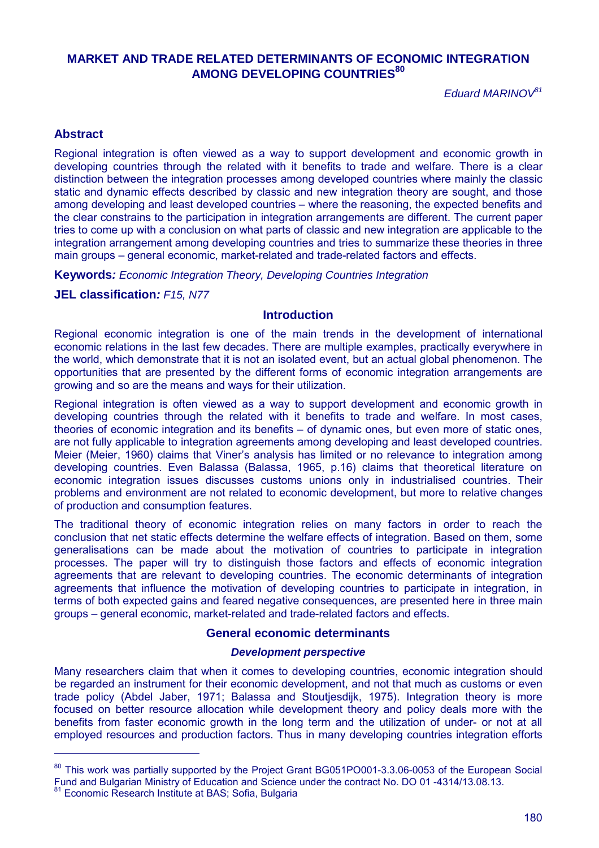# **MARKET AND TRADE RELATED DETERMINANTS OF ECONOMIC INTEGRATION AMONG DEVELOPING COUNTRIES 80**

*Eduard MARINOV<sup>81</sup>*

## **Abstract**

Regional integration is often viewed as a way to support development and economic growth in developing countries through the related with it benefits to trade and welfare. There is a clear distinction between the integration processes among developed countries where mainly the classic static and dynamic effects described by classic and new integration theory are sought, and those among developing and least developed countries – where the reasoning, the expected benefits and the clear constrains to the participation in integration arrangements are different. The current paper tries to come up with a conclusion on what parts of classic and new integration are applicable to the integration arrangement among developing countries and tries to summarize these theories in three main groups – general economic, market-related and trade-related factors and effects.

**Keywords***: Economic Integration Theory, Developing Countries Integration*

## **JEL classification***: F15, N77*

## **Introduction**

Regional economic integration is one of the main trends in the development of international economic relations in the last few decades. There are multiple examples, practically everywhere in the world, which demonstrate that it is not an isolated event, but an actual global phenomenon. The opportunities that are presented by the different forms of economic integration arrangements are growing and so are the means and ways for their utilization.

Regional integration is often viewed as a way to support development and economic growth in developing countries through the related with it benefits to trade and welfare. In most cases, theories of economic integration and its benefits – of dynamic ones, but even more of static ones, are not fully applicable to integration agreements among developing and least developed countries. Meier (Meier, 1960) claims that Viner's analysis has limited or no relevance to integration among developing countries. Even Balassa (Balassa, 1965, p.16) claims that theoretical literature on economic integration issues discusses customs unions only in industrialised countries. Their problems and environment are not related to economic development, but more to relative changes of production and consumption features.

The traditional theory of economic integration relies on many factors in order to reach the conclusion that net static effects determine the welfare effects of integration. Based on them, some generalisations can be made about the motivation of countries to participate in integration processes. The paper will try to distinguish those factors and effects of economic integration agreements that are relevant to developing countries. The economic determinants of integration agreements that influence the motivation of developing countries to participate in integration, in terms of both expected gains and feared negative consequences, are presented here in three main groups – general economic, market-related and trade-related factors and effects.

## **General economic determinants**

## *Development perspective*

Many researchers claim that when it comes to developing countries, economic integration should be regarded an instrument for their economic development, and not that much as customs or even trade policy (Abdel Jaber, 1971; Balassa and Stoutjesdijk, 1975). Integration theory is more focused on better resource allocation while development theory and policy deals more with the benefits from faster economic growth in the long term and the utilization of under- or not at all employed resources and production factors. Thus in many developing countries integration efforts

 $\overline{a}$ 

<sup>&</sup>lt;sup>80</sup> This work was partially supported by the Project Grant BG051PO001-3.3.06-0053 of the European Social Fund and Bulgarian Ministry of Education and Science under the contract No. DO 01 -4314/13.08.13.

<sup>&</sup>lt;sup>81</sup> Economic Research Institute at BAS; Sofia, Bulgaria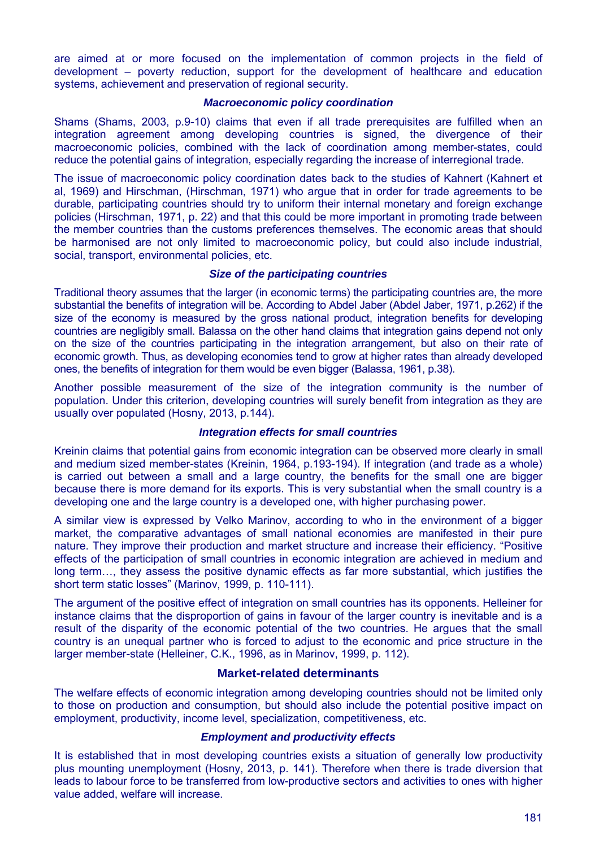are aimed at or more focused on the implementation of common projects in the field of development – poverty reduction, support for the development of healthcare and education systems, achievement and preservation of regional security.

## *Macroeconomic policy coordination*

Shams (Shams, 2003, p.9-10) claims that even if all trade prerequisites are fulfilled when an integration agreement among developing countries is signed, the divergence of their macroeconomic policies, combined with the lack of coordination among member-states, could reduce the potential gains of integration, especially regarding the increase of interregional trade.

The issue of macroeconomic policy coordination dates back to the studies of Kahnert (Kahnert et al, 1969) and Hirschman, (Hirschman, 1971) who argue that in order for trade agreements to be durable, participating countries should try to uniform their internal monetary and foreign exchange policies (Hirschman, 1971, p. 22) and that this could be more important in promoting trade between the member countries than the customs preferences themselves. The economic areas that should be harmonised are not only limited to macroeconomic policy, but could also include industrial, social, transport, environmental policies, etc.

## *Size of the participating countries*

Traditional theory assumes that the larger (in economic terms) the participating countries are, the more substantial the benefits of integration will be. According to Abdel Jaber (Abdel Jaber, 1971, p.262) if the size of the economy is measured by the gross national product, integration benefits for developing countries are negligibly small. Balassa on the other hand claims that integration gains depend not only on the size of the countries participating in the integration arrangement, but also on their rate of economic growth. Thus, as developing economies tend to grow at higher rates than already developed ones, the benefits of integration for them would be even bigger (Balassa, 1961, p.38).

Another possible measurement of the size of the integration community is the number of population. Under this criterion, developing countries will surely benefit from integration as they are usually over populated (Hosny, 2013, p.144).

## *Integration effects for small countries*

Kreinin claims that potential gains from economic integration can be observed more clearly in small and medium sized member-states (Kreinin, 1964, p.193-194). If integration (and trade as a whole) is carried out between a small and a large country, the benefits for the small one are bigger because there is more demand for its exports. This is very substantial when the small country is a developing one and the large country is a developed one, with higher purchasing power.

A similar view is expressed by Velko Marinov, according to who in the environment of a bigger market, the comparative advantages of small national economies are manifested in their pure nature. They improve their production and market structure and increase their efficiency. "Positive effects of the participation of small countries in economic integration are achieved in medium and long term…, they assess the positive dynamic effects as far more substantial, which justifies the short term static losses" (Marinov, 1999, p. 110-111).

The argument of the positive effect of integration on small countries has its opponents. Helleiner for instance claims that the disproportion of gains in favour of the larger country is inevitable and is a result of the disparity of the economic potential of the two countries. He argues that the small country is an unequal partner who is forced to adjust to the economic and price structure in the larger member-state (Helleiner, C.K., 1996, as in Marinov, 1999, p. 112).

## **Market-related determinants**

The welfare effects of economic integration among developing countries should not be limited only to those on production and consumption, but should also include the potential positive impact on employment, productivity, income level, specialization, competitiveness, etc.

#### *Employment and productivity effects*

It is established that in most developing countries exists a situation of generally low productivity plus mounting unemployment (Hosny, 2013, p. 141). Therefore when there is trade diversion that leads to labour force to be transferred from low-productive sectors and activities to ones with higher value added, welfare will increase.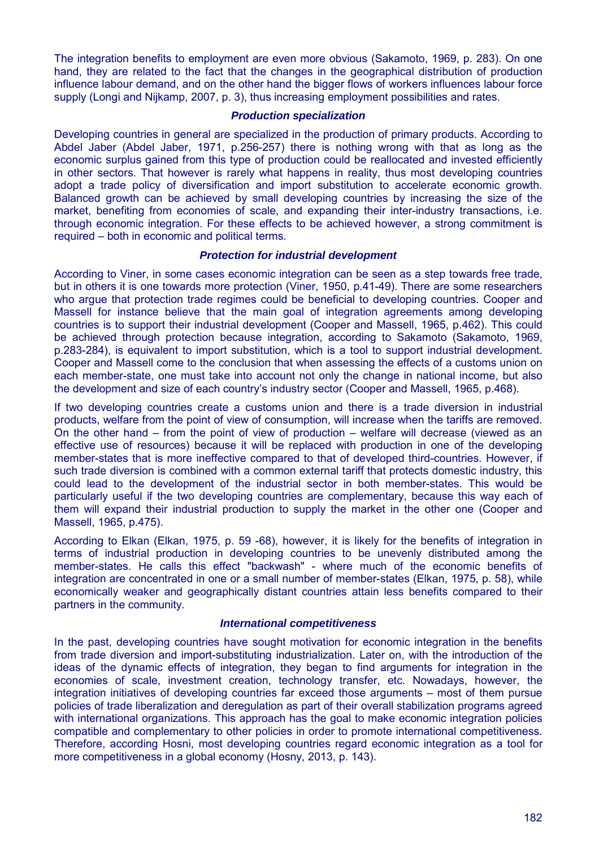The integration benefits to employment are even more obvious (Sakamoto, 1969, p. 283). On one hand, they are related to the fact that the changes in the geographical distribution of production influence labour demand, and on the other hand the bigger flows of workers influences labour force supply (Longi and Nijkamp, 2007, p. 3), thus increasing employment possibilities and rates.

## *Production specialization*

Developing countries in general are specialized in the production of primary products. According to Abdel Jaber (Abdel Jaber, 1971, p.256-257) there is nothing wrong with that as long as the economic surplus gained from this type of production could be reallocated and invested efficiently in other sectors. That however is rarely what happens in reality, thus most developing countries adopt a trade policy of diversification and import substitution to accelerate economic growth. Balanced growth can be achieved by small developing countries by increasing the size of the market, benefiting from economies of scale, and expanding their inter-industry transactions, i.e. through economic integration. For these effects to be achieved however, a strong commitment is required – both in economic and political terms.

## *Protection for industrial development*

According to Viner, in some cases economic integration can be seen as a step towards free trade, but in others it is one towards more protection (Viner, 1950, p.41-49). There are some researchers who argue that protection trade regimes could be beneficial to developing countries. Cooper and Massell for instance believe that the main goal of integration agreements among developing countries is to support their industrial development (Cooper and Massell, 1965, p.462). This could be achieved through protection because integration, according to Sakamoto (Sakamoto, 1969, p.283-284), is equivalent to import substitution, which is a tool to support industrial development. Cooper and Massell come to the conclusion that when assessing the effects of a customs union on each member-state, one must take into account not only the change in national income, but also the development and size of each country's industry sector (Cooper and Massell, 1965, p.468).

If two developing countries create a customs union and there is a trade diversion in industrial products, welfare from the point of view of consumption, will increase when the tariffs are removed. On the other hand – from the point of view of production – welfare will decrease (viewed as an effective use of resources) because it will be replaced with production in one of the developing member-states that is more ineffective compared to that of developed third-countries. However, if such trade diversion is combined with a common external tariff that protects domestic industry, this could lead to the development of the industrial sector in both member-states. This would be particularly useful if the two developing countries are complementary, because this way each of them will expand their industrial production to supply the market in the other one (Cooper and Massell, 1965, p.475).

According to Elkan (Elkan, 1975, p. 59 -68), however, it is likely for the benefits of integration in terms of industrial production in developing countries to be unevenly distributed among the member-states. He calls this effect "backwash" - where much of the economic benefits of integration are concentrated in one or a small number of member-states (Elkan, 1975, p. 58), while economically weaker and geographically distant countries attain less benefits compared to their partners in the community.

## *International competitiveness*

In the past, developing countries have sought motivation for economic integration in the benefits from trade diversion and import-substituting industrialization. Later on, with the introduction of the ideas of the dynamic effects of integration, they began to find arguments for integration in the economies of scale, investment creation, technology transfer, etc. Nowadays, however, the integration initiatives of developing countries far exceed those arguments – most of them pursue policies of trade liberalization and deregulation as part of their overall stabilization programs agreed with international organizations. This approach has the goal to make economic integration policies compatible and complementary to other policies in order to promote international competitiveness. Therefore, according Hosni, most developing countries regard economic integration as a tool for more competitiveness in a global economy (Hosny, 2013, p. 143).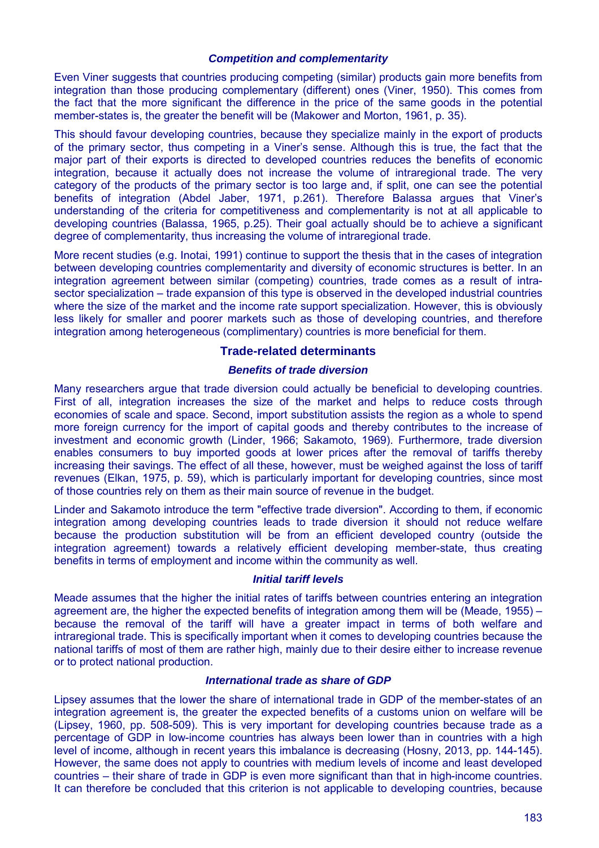## *Competition and complementarity*

Even Viner suggests that countries producing competing (similar) products gain more benefits from integration than those producing complementary (different) ones (Viner, 1950). This comes from the fact that the more significant the difference in the price of the same goods in the potential member-states is, the greater the benefit will be (Makower and Morton, 1961, p. 35).

This should favour developing countries, because they specialize mainly in the export of products of the primary sector, thus competing in a Viner's sense. Although this is true, the fact that the major part of their exports is directed to developed countries reduces the benefits of economic integration, because it actually does not increase the volume of intraregional trade. The very category of the products of the primary sector is too large and, if split, one can see the potential benefits of integration (Abdel Jaber, 1971, p.261). Therefore Balassa argues that Viner's understanding of the criteria for competitiveness and complementarity is not at all applicable to developing countries (Balassa, 1965, p.25). Their goal actually should be to achieve a significant degree of complementarity, thus increasing the volume of intraregional trade.

More recent studies (e.g. Inotai, 1991) continue to support the thesis that in the cases of integration between developing countries complementarity and diversity of economic structures is better. In an integration agreement between similar (competing) countries, trade comes as a result of intrasector specialization – trade expansion of this type is observed in the developed industrial countries where the size of the market and the income rate support specialization. However, this is obviously less likely for smaller and poorer markets such as those of developing countries, and therefore integration among heterogeneous (complimentary) countries is more beneficial for them.

## **Trade-related determinants**

## *Benefits of trade diversion*

Many researchers argue that trade diversion could actually be beneficial to developing countries. First of all, integration increases the size of the market and helps to reduce costs through economies of scale and space. Second, import substitution assists the region as a whole to spend more foreign currency for the import of capital goods and thereby contributes to the increase of investment and economic growth (Linder, 1966; Sakamoto, 1969). Furthermore, trade diversion enables consumers to buy imported goods at lower prices after the removal of tariffs thereby increasing their savings. The effect of all these, however, must be weighed against the loss of tariff revenues (Elkan, 1975, p. 59), which is particularly important for developing countries, since most of those countries rely on them as their main source of revenue in the budget.

Linder and Sakamoto introduce the term "effective trade diversion". According to them, if economic integration among developing countries leads to trade diversion it should not reduce welfare because the production substitution will be from an efficient developed country (outside the integration agreement) towards a relatively efficient developing member-state, thus creating benefits in terms of employment and income within the community as well.

## *Initial tariff levels*

Meade assumes that the higher the initial rates of tariffs between countries entering an integration agreement are, the higher the expected benefits of integration among them will be (Meade, 1955) – because the removal of the tariff will have a greater impact in terms of both welfare and intraregional trade. This is specifically important when it comes to developing countries because the national tariffs of most of them are rather high, mainly due to their desire either to increase revenue or to protect national production.

## *International trade as share of GDP*

Lipsey assumes that the lower the share of international trade in GDP of the member-states of an integration agreement is, the greater the expected benefits of a customs union on welfare will be (Lipsey, 1960, pp. 508-509). This is very important for developing countries because trade as a percentage of GDP in low-income countries has always been lower than in countries with a high level of income, although in recent years this imbalance is decreasing (Hosny, 2013, pp. 144-145). However, the same does not apply to countries with medium levels of income and least developed countries – their share of trade in GDP is even more significant than that in high-income countries. It can therefore be concluded that this criterion is not applicable to developing countries, because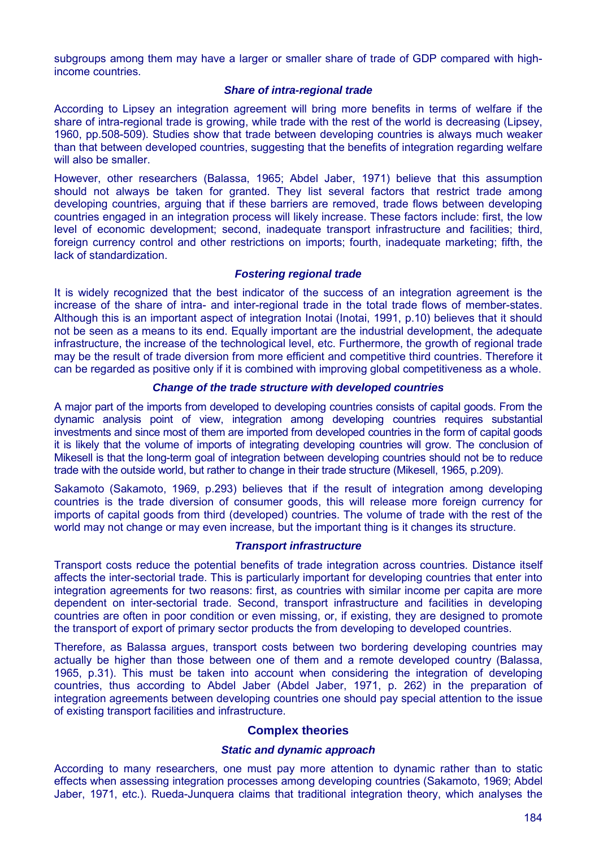subgroups among them may have a larger or smaller share of trade of GDP compared with highincome countries.

#### *Share of intra-regional trade*

According to Lipsey an integration agreement will bring more benefits in terms of welfare if the share of intra-regional trade is growing, while trade with the rest of the world is decreasing (Lipsey, 1960, pp.508-509). Studies show that trade between developing countries is always much weaker than that between developed countries, suggesting that the benefits of integration regarding welfare will also be smaller.

However, other researchers (Balassa, 1965; Abdel Jaber, 1971) believe that this assumption should not always be taken for granted. They list several factors that restrict trade among developing countries, arguing that if these barriers are removed, trade flows between developing countries engaged in an integration process will likely increase. These factors include: first, the low level of economic development; second, inadequate transport infrastructure and facilities; third, foreign currency control and other restrictions on imports; fourth, inadequate marketing; fifth, the lack of standardization.

## *Fostering regional trade*

It is widely recognized that the best indicator of the success of an integration agreement is the increase of the share of intra- and inter-regional trade in the total trade flows of member-states. Although this is an important aspect of integration Inotai (Inotai, 1991, p.10) believes that it should not be seen as a means to its end. Equally important are the industrial development, the adequate infrastructure, the increase of the technological level, etc. Furthermore, the growth of regional trade may be the result of trade diversion from more efficient and competitive third countries. Therefore it can be regarded as positive only if it is combined with improving global competitiveness as a whole.

## *Change of the trade structure with developed countries*

A major part of the imports from developed to developing countries consists of capital goods. From the dynamic analysis point of view, integration among developing countries requires substantial investments and since most of them are imported from developed countries in the form of capital goods it is likely that the volume of imports of integrating developing countries will grow. The conclusion of Mikesell is that the long-term goal of integration between developing countries should not be to reduce trade with the outside world, but rather to change in their trade structure (Mikesell, 1965, p.209).

Sakamoto (Sakamoto, 1969, p.293) believes that if the result of integration among developing countries is the trade diversion of consumer goods, this will release more foreign currency for imports of capital goods from third (developed) countries. The volume of trade with the rest of the world may not change or may even increase, but the important thing is it changes its structure.

## *Transport infrastructure*

Transport costs reduce the potential benefits of trade integration across countries. Distance itself affects the inter-sectorial trade. This is particularly important for developing countries that enter into integration agreements for two reasons: first, as countries with similar income per capita are more dependent on inter-sectorial trade. Second, transport infrastructure and facilities in developing countries are often in poor condition or even missing, or, if existing, they are designed to promote the transport of export of primary sector products the from developing to developed countries.

Therefore, as Balassa argues, transport costs between two bordering developing countries may actually be higher than those between one of them and a remote developed country (Balassa, 1965, p.31). This must be taken into account when considering the integration of developing countries, thus according to Abdel Jaber (Abdel Jaber, 1971, p. 262) in the preparation of integration agreements between developing countries one should pay special attention to the issue of existing transport facilities and infrastructure.

## **Complex theories**

#### *Static and dynamic approach*

According to many researchers, one must pay more attention to dynamic rather than to static effects when assessing integration processes among developing countries (Sakamoto, 1969; Abdel Jaber, 1971, etc.). Rueda-Junquera claims that traditional integration theory, which analyses the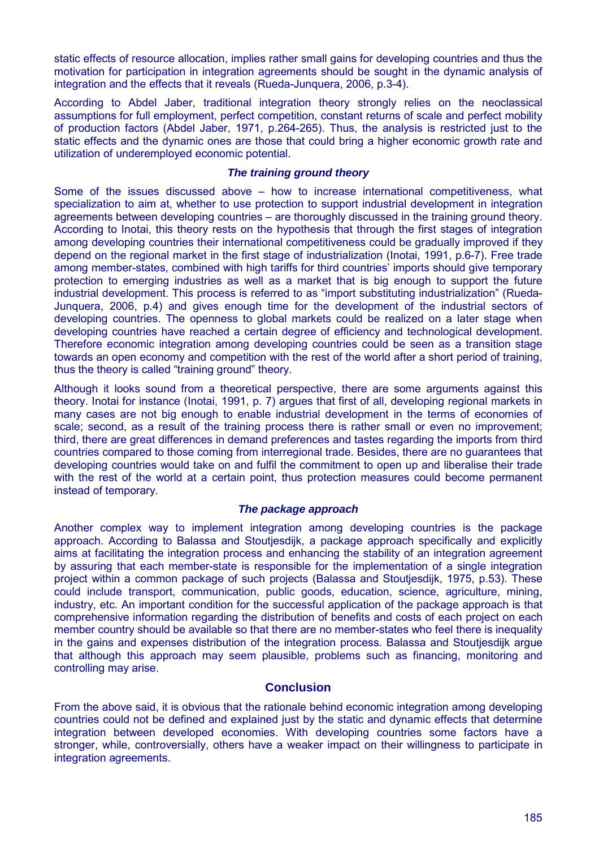static effects of resource allocation, implies rather small gains for developing countries and thus the motivation for participation in integration agreements should be sought in the dynamic analysis of integration and the effects that it reveals (Rueda-Junquera, 2006, p.3-4).

According to Abdel Jaber, traditional integration theory strongly relies on the neoclassical assumptions for full employment, perfect competition, constant returns of scale and perfect mobility of production factors (Abdel Jaber, 1971, p.264-265). Thus, the analysis is restricted just to the static effects and the dynamic ones are those that could bring a higher economic growth rate and utilization of underemployed economic potential.

## *The training ground theory*

Some of the issues discussed above – how to increase international competitiveness, what specialization to aim at, whether to use protection to support industrial development in integration agreements between developing countries – are thoroughly discussed in the training ground theory. According to Inotai, this theory rests on the hypothesis that through the first stages of integration among developing countries their international competitiveness could be gradually improved if they depend on the regional market in the first stage of industrialization (Inotai, 1991, p.6-7). Free trade among member-states, combined with high tariffs for third countries' imports should give temporary protection to emerging industries as well as a market that is big enough to support the future industrial development. This process is referred to as "import substituting industrialization" (Rueda-Junquera, 2006, p.4) and gives enough time for the development of the industrial sectors of developing countries. The openness to global markets could be realized on a later stage when developing countries have reached a certain degree of efficiency and technological development. Therefore economic integration among developing countries could be seen as a transition stage towards an open economy and competition with the rest of the world after a short period of training, thus the theory is called "training ground" theory.

Although it looks sound from a theoretical perspective, there are some arguments against this theory. Inotai for instance (Inotai, 1991, p. 7) argues that first of all, developing regional markets in many cases are not big enough to enable industrial development in the terms of economies of scale; second, as a result of the training process there is rather small or even no improvement; third, there are great differences in demand preferences and tastes regarding the imports from third countries compared to those coming from interregional trade. Besides, there are no guarantees that developing countries would take on and fulfil the commitment to open up and liberalise their trade with the rest of the world at a certain point, thus protection measures could become permanent instead of temporary.

## *The package approach*

Another complex way to implement integration among developing countries is the package approach. According to Balassa and Stoutjesdijk, a package approach specifically and explicitly aims at facilitating the integration process and enhancing the stability of an integration agreement by assuring that each member-state is responsible for the implementation of a single integration project within a common package of such projects (Balassa and Stoutjesdijk, 1975, p.53). These could include transport, communication, public goods, education, science, agriculture, mining, industry, etc. An important condition for the successful application of the package approach is that comprehensive information regarding the distribution of benefits and costs of each project on each member country should be available so that there are no member-states who feel there is inequality in the gains and expenses distribution of the integration process. Balassa and Stoutjesdijk argue that although this approach may seem plausible, problems such as financing, monitoring and controlling may arise.

## **Conclusion**

From the above said, it is obvious that the rationale behind economic integration among developing countries could not be defined and explained just by the static and dynamic effects that determine integration between developed economies. With developing countries some factors have a stronger, while, controversially, others have a weaker impact on their willingness to participate in integration agreements.